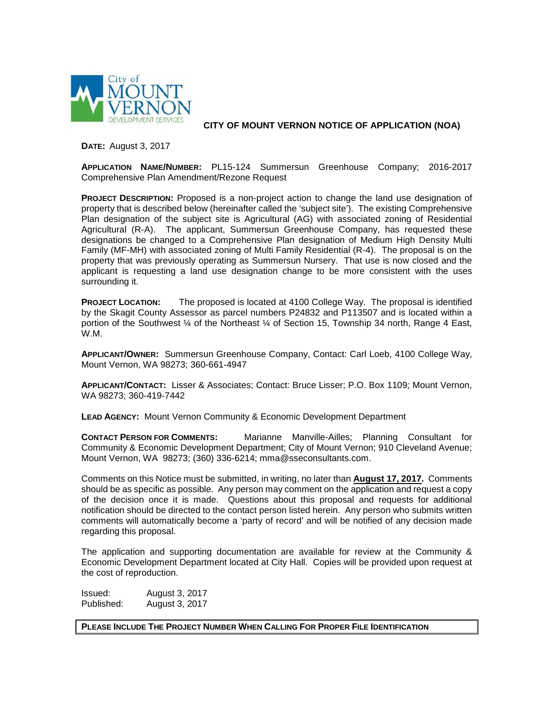

**CITY OF MOUNT VERNON NOTICE OF APPLICATION (NOA)**

**DATE:** August 3, 2017

**APPLICATION NAME/NUMBER:** PL15-124 Summersun Greenhouse Company; 2016-2017 Comprehensive Plan Amendment/Rezone Request

**PROJECT DESCRIPTION:** Proposed is a non-project action to change the land use designation of property that is described below (hereinafter called the 'subject site'). The existing Comprehensive Plan designation of the subject site is Agricultural (AG) with associated zoning of Residential Agricultural (R-A). The applicant, Summersun Greenhouse Company, has requested these designations be changed to a Comprehensive Plan designation of Medium High Density Multi Family (MF-MH) with associated zoning of Multi Family Residential (R-4). The proposal is on the property that was previously operating as Summersun Nursery. That use is now closed and the applicant is requesting a land use designation change to be more consistent with the uses surrounding it.

**PROJECT LOCATION:** The proposed is located at 4100 College Way. The proposal is identified by the Skagit County Assessor as parcel numbers P24832 and P113507 and is located within a portion of the Southwest ¼ of the Northeast ¼ of Section 15, Township 34 north, Range 4 East, W.M.

**APPLICANT/OWNER:** Summersun Greenhouse Company, Contact: Carl Loeb, 4100 College Way, Mount Vernon, WA 98273; 360-661-4947

**APPLICANT/CONTACT:** Lisser & Associates; Contact: Bruce Lisser; P.O. Box 1109; Mount Vernon, WA 98273; 360-419-7442

**LEAD AGENCY:** Mount Vernon Community & Economic Development Department

**CONTACT PERSON FOR COMMENTS:** Marianne Manville-Ailles; Planning Consultant for Community & Economic Development Department; City of Mount Vernon; 910 Cleveland Avenue; Mount Vernon, WA 98273; (360) 336-6214; mma@sseconsultants.com.

Comments on this Notice must be submitted, in writing, no later than **August 17, 2017.** Comments should be as specific as possible. Any person may comment on the application and request a copy of the decision once it is made. Questions about this proposal and requests for additional notification should be directed to the contact person listed herein. Any person who submits written comments will automatically become a 'party of record' and will be notified of any decision made regarding this proposal.

The application and supporting documentation are available for review at the Community & Economic Development Department located at City Hall. Copies will be provided upon request at the cost of reproduction.

Issued: August 3, 2017 Published: August 3, 2017

**PLEASE INCLUDE THE PROJECT NUMBER WHEN CALLING FOR PROPER FILE IDENTIFICATION**